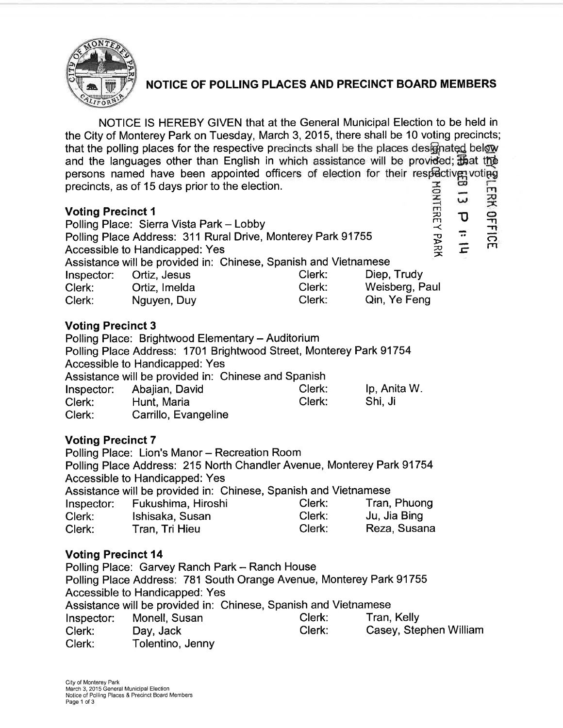

# NOTICE OF POLLING PLAGES AND PRECINCT BOARD MEMBERS

NOTICE lS HEREBY GIVEN that at the General Municipal Election to be held in the City of Monterey Park on Tuesday, March 3,2015, there shall be 10 voting precincts; that the polling places for the respective precincts shall be the places designated below and the languages other than English in which assistance will be provided; that the persons named have been appointed officers of election for their respective voting precincts, as of 15 days prior to the election. precincts, as of 15 days prior to the election.<br>Voting Precinct 1 듀

| $\sqrt{2}$ . $\sqrt{2}$ . $\sqrt{2}$ . $\sqrt{2}$ . $\sqrt{2}$  |                                          |        |                |                      |   |            |
|-----------------------------------------------------------------|------------------------------------------|--------|----------------|----------------------|---|------------|
|                                                                 | Polling Place: Sierra Vista Park - Lobby |        |                | $\approx$<br>$\prec$ |   | $\approx$  |
| Polling Place Address: 311 Rural Drive, Monterey Park 91755     |                                          |        |                |                      | ÷ | FICE<br>RE |
| Accessible to Handicapped: Yes                                  |                                          |        |                | PARK                 |   |            |
| Assistance will be provided in: Chinese, Spanish and Vietnamese |                                          |        |                |                      |   |            |
|                                                                 | Inspector: Ortiz, Jesus                  | Clerk: | Diep, Trudy    |                      |   |            |
| Clerk:                                                          | Ortiz, Imelda                            | Clerk: | Weisberg, Paul |                      |   |            |
| Clerk:                                                          | Nguyen, Duy                              | Clerk: | Qin, Ye Feng   |                      |   |            |
|                                                                 |                                          |        |                |                      |   |            |

# Voting Precinct 3

Polling Place: Brightwood Elementary - Auditorium Polling Place Address: 1701 Brightwood Street, Monterey Park 91754 Accessible to Handicapped: Yes Assistance will be provided in: Chinese and Spanish Inspector: Abajian, David Clerk: lp, Anita W. nspector: Abajian, Bavia<br>Clerk: Hunt, Maria Clerk: Shi, Ji Clerk: Hunt, Maria<br>Clerk: Carrillo, Evangeline

# Voting Precinct 7

Polling Place: Lion's Manor - Recreation Room Polling Place Address: 215 North Chandler Avenue, Monterey Park 91754 Accessible to Handicapped: Yes Assistance will be provided in: Chinese, Spanish and Vietnamese lnspector: Fukushima, Hiroshi Clerk: Tran, Phuong Clerk: lshisaka, Susan Clerk: Ju, Jia Bing Clerk: Tran, Tri Hieu

# Voting Precinct l4

Polling Place: Garvey Ranch Park - Ranch House Polling Place Address: 781 South Orange Avenue, Monterey Park 91755 Accessible to Handicapped: Yes Assistance will be provided in: Chinese, Spanish and Vietnamese resistance will be provided in: Chinese, Opamorrand Victilameee<br>Inspector: Monell, Susan Clerk: Tran, Kelly Clerk: Day, Jack Clerk: Casey, Stephen William Clerk: Tolentino, Jenny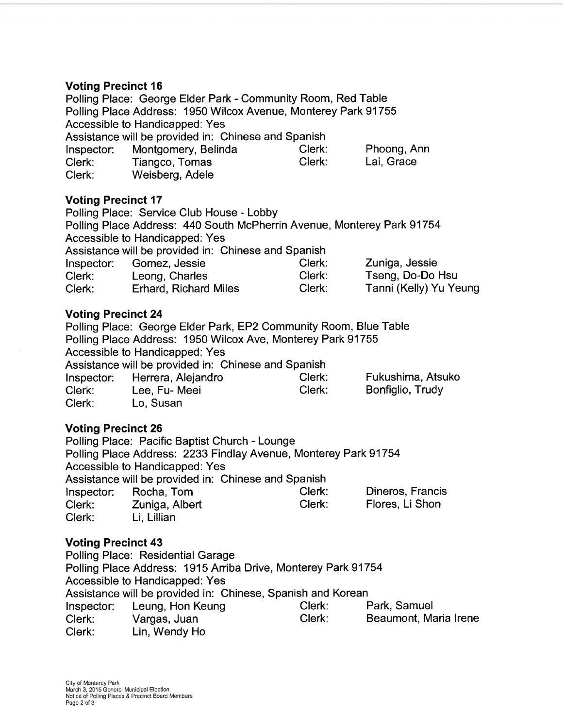## Voting Precinct 16

Polling Place: George Elder Park - Community Room, Red Table Polling Place Address: 1950 Wilcox Avenue, Monterey Park 91755 Accessible to Handicapped: Yes Assistance will be provided in: Chinese and Spanish lnspector: Montgomery, Belinda Clerk: Phoong, Ann Clerk: Tiangco, Tomas<br>Clerk: Weisberg, Adele Weisberg, Adele

### **Voting Precinct 17**

Polling Place: Service Club House - Lobby Polling Place Address: 440 South McPherrin Avenue, Monterey Park 91754 Accessible to Handicapped: Yes Assistance will be provided in: Chinese and Spanish lnspector: Gomez, Jessie Clerk: Zuniga, Jessie Clerk: Leong, Charles Clerk: Tseng, Do-Do Hsu<br>Clerk: Erhard, Richard Miles Clerk: Tanni (Kelly) Yu Ye Tanni (Kelly) Yu Yeung

## Voting Precinct 24

Polling Place: George Elder Park, EP2 Community Room, Blue Table Polling Place Address: 1950 Wilcox Ave, Monterey Park 91755 Accessible to Handicapped: Yes Assistance will be provided in: Chinese and Spanish Inspector: Herrera, Alejandro Clerk: Fukushima, Atsuko Clerk: Lee, Fu- Meei Clerk: Bonfiglio, Trudy Clerk: Lo, Susan

# Voting Precinct 26

Polling Place: Pacific Baptist Church - Lounge Polling Place Address: 2233 Findlay Avenue, Monterey Park91754 Accessible to Handicapped: Yes Assistance will be provided in: Chinese and Spanish lnspector: Rocha, Tom Clerk: Dineros, Francis Inspector: Rocha, Tom Clerk: Dineros, Francis<br>Clerk: Zuniga, Albert Clerk: Flores, Li Shon Clerk: Li, Lillian

# Voting Precinct 43

Polling Place: Residential Garage Polling Place Address: 1915 Arriba Drive, Monterey Park 91754 Accessible to Handicapped: Yes Assistance will be provided in: Chinese, Spanish and Korean Inspector: Leung, Hon Keung Clerk: Park, Samuel Clerk: Vargas, Juan Clerk: Beaumont, Maria lrene Lin, Wendy Ho